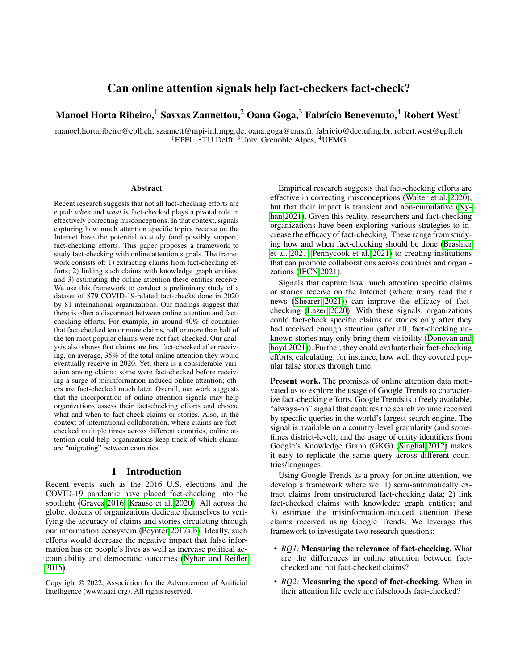## Can online attention signals help fact-checkers fact-check?

# Manoel Horta Ribeiro,<sup>1</sup> Savvas Zannettou,<sup>2</sup> Oana Goga,<sup>3</sup> Fabrício Benevenuto,<sup>4</sup> Robert West<sup>1</sup>

manoel.hortaribeiro@epfl.ch, szannett@mpi-inf.mpg.de, oana.goga@cnrs.fr, fabricio@dcc.ufmg.br, robert.west@epfl.ch <sup>1</sup>EPFL, <sup>2</sup>TU Delft, <sup>3</sup>Univ. Grenoble Alpes, <sup>4</sup>UFMG

#### **Abstract**

Recent research suggests that not all fact-checking efforts are equal: *when* and *what* is fact-checked plays a pivotal role in effectively correcting misconceptions. In that context, signals capturing how much attention specific topics receive on the Internet have the potential to study (and possibly support) fact-checking efforts. This paper proposes a framework to study fact-checking with online attention signals. The framework consists of: 1) extracting claims from fact-checking efforts; 2) linking such claims with knowledge graph entities; and 3) estimating the online attention these entities receive. We use this framework to conduct a preliminary study of a dataset of 879 COVID-19-related fact-checks done in 2020 by 81 international organizations. Our findings suggest that there is often a disconnect between online attention and factchecking efforts. For example, in around 40% of countries that fact-checked ten or more claims, half or more than half of the ten most popular claims were not fact-checked. Our analysis also shows that claims are first fact-checked after receiving, on average, 35% of the total online attention they would eventually receive in 2020. Yet, there is a considerable variation among claims: some were fact-checked before receiving a surge of misinformation-induced online attention; others are fact-checked much later. Overall, our work suggests that the incorporation of online attention signals may help organizations assess their fact-checking efforts and choose what and when to fact-check claims or stories. Also, in the context of international collaboration, where claims are factchecked multiple times across different countries, online attention could help organizations keep track of which claims are "migrating" between countries.

#### 1 Introduction

Recent events such as the 2016 U.S. elections and the COVID-19 pandemic have placed fact-checking into the spotlight [\(Graves 2016;](#page-8-0) [Krause et al. 2020\)](#page-9-0). All across the globe, dozens of organizations dedicate themselves to verifying the accuracy of claims and stories circulating through our information ecosystem [\(Poynter 2017a](#page-9-1)[,b\)](#page-9-2). Ideally, such efforts would decrease the negative impact that false information has on people's lives as well as increase political accountability and democratic outcomes [\(Nyhan and Reifler](#page-9-3) [2015\)](#page-9-3).

Empirical research suggests that fact-checking efforts are effective in correcting misconceptions [\(Walter et al. 2020\)](#page-9-4), but that their impact is transient and non-cumulative [\(Ny](#page-9-5)[han 2021\)](#page-9-5). Given this reality, researchers and fact-checking organizations have been exploring various strategies to increase the efficacy of fact-checking. These range from studying how and when fact-checking should be done [\(Brashier](#page-8-1) [et al. 2021;](#page-8-1) [Pennycook et al. 2021\)](#page-9-6) to creating institutions that can promote collaborations across countries and organizations [\(IFCN 2021\)](#page-9-7).

Signals that capture how much attention specific claims or stories receive on the Internet (where many read their news [\(Shearer 2021\)](#page-9-8)) can improve the efficacy of factchecking [\(Lazer 2020\)](#page-9-9). With these signals, organizations could fact-check specific claims or stories only after they had received enough attention (after all, fact-checking unknown stories may only bring them visibility [\(Donovan and](#page-8-2) [boyd 2021\)](#page-8-2)). Further, they could evaluate their fact-checking efforts, calculating, for instance, how well they covered popular false stories through time.

Present work. The promises of online attention data motivated us to explore the usage of Google Trends to characterize fact-checking efforts. Google Trends is a freely available, "always-on" signal that captures the search volume received by specific queries in the world's largest search engine. The signal is available on a country-level granularity (and sometimes district-level), and the usage of entity identifiers from Google's Knowledge Graph (GKG) [\(Singhal 2012\)](#page-9-10) makes it easy to replicate the same query across different countries/languages.

Using Google Trends as a proxy for online attention, we develop a framework where we: 1) semi-automatically extract claims from unstructured fact-checking data; 2) link fact-checked claims with knowledge graph entities; and 3) estimate the misinformation-induced attention these claims received using Google Trends. We leverage this framework to investigate two research questions:

- *RQ1:* Measuring the relevance of fact-checking. What are the differences in online attention between factchecked and not fact-checked claims?
- *RQ2*: Measuring the speed of fact-checking. When in their attention life cycle are falsehoods fact-checked?

Copyright © 2022, Association for the Advancement of Artificial Intelligence (www.aaai.org). All rights reserved.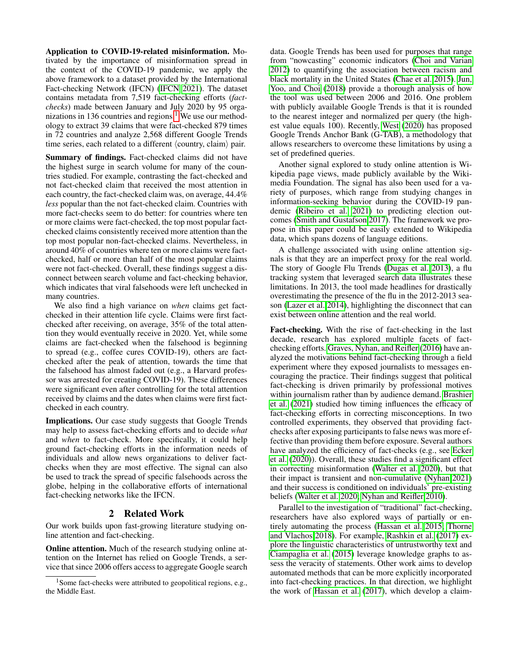Application to COVID-19-related misinformation. Motivated by the importance of misinformation spread in the context of the COVID-19 pandemic, we apply the above framework to a dataset provided by the International Fact-checking Network (IFCN) [\(IFCN 2021\)](#page-9-7). The dataset contains metadata from 7,519 fact-checking efforts (*factchecks*) made between January and July 2020 by 95 orga-nizations in [1](#page-1-0)36 countries and regions.<sup>1</sup> We use our methodology to extract 39 claims that were fact-checked 879 times in 72 countries and analyze 2,568 different Google Trends time series, each related to a different  $\langle$  country, claim $\rangle$  pair.

Summary of findings. Fact-checked claims did not have the highest surge in search volume for many of the countries studied. For example, contrasting the fact-checked and not fact-checked claim that received the most attention in each country, the fact-checked claim was, on average, 44.4% *less* popular than the not fact-checked claim. Countries with more fact-checks seem to do better: for countries where ten or more claims were fact-checked, the top most popular factchecked claims consistently received more attention than the top most popular non-fact-checked claims. Nevertheless, in around 40% of countries where ten or more claims were factchecked, half or more than half of the most popular claims were not fact-checked. Overall, these findings suggest a disconnect between search volume and fact-checking behavior, which indicates that viral falsehoods were left unchecked in many countries.

We also find a high variance on *when* claims get factchecked in their attention life cycle. Claims were first factchecked after receiving, on average, 35% of the total attention they would eventually receive in 2020. Yet, while some claims are fact-checked when the falsehood is beginning to spread (e.g., coffee cures COVID-19), others are factchecked after the peak of attention, towards the time that the falsehood has almost faded out (e.g., a Harvard professor was arrested for creating COVID-19). These differences were significant even after controlling for the total attention received by claims and the dates when claims were first factchecked in each country.

Implications. Our case study suggests that Google Trends may help to assess fact-checking efforts and to decide *what* and *when* to fact-check. More specifically, it could help ground fact-checking efforts in the information needs of individuals and allow news organizations to deliver factchecks when they are most effective. The signal can also be used to track the spread of specific falsehoods across the globe, helping in the collaborative efforts of international fact-checking networks like the IFCN.

## 2 Related Work

Our work builds upon fast-growing literature studying online attention and fact-checking.

Online attention. Much of the research studying online attention on the Internet has relied on Google Trends, a service that since 2006 offers access to aggregate Google search

data. Google Trends has been used for purposes that range from "nowcasting" economic indicators [\(Choi and Varian](#page-8-3) [2012\)](#page-8-3) to quantifying the association between racism and black mortality in the United States [\(Chae et al. 2015\)](#page-8-4). [Jun,](#page-9-11) [Yoo, and Choi](#page-9-11) [\(2018\)](#page-9-11) provide a thorough analysis of how the tool was used between 2006 and 2016. One problem with publicly available Google Trends is that it is rounded to the nearest integer and normalized per query (the highest value equals 100). Recently, [West](#page-9-12) [\(2020\)](#page-9-12) has proposed Google Trends Anchor Bank (G-TAB), a methodology that allows researchers to overcome these limitations by using a set of predefined queries.

Another signal explored to study online attention is Wikipedia page views, made publicly available by the Wikimedia Foundation. The signal has also been used for a variety of purposes, which range from studying changes in information-seeking behavior during the COVID-19 pandemic [\(Ribeiro et al. 2021\)](#page-9-13) to predicting election outcomes [\(Smith and Gustafson 2017\)](#page-9-14). The framework we propose in this paper could be easily extended to Wikipedia data, which spans dozens of language editions.

A challenge associated with using online attention signals is that they are an imperfect proxy for the real world. The story of Google Flu Trends [\(Dugas et al. 2013\)](#page-8-5), a flu tracking system that leveraged search data illustrates these limitations. In 2013, the tool made headlines for drastically overestimating the presence of the flu in the 2012-2013 season [\(Lazer et al. 2014\)](#page-9-15), highlighting the disconnect that can exist between online attention and the real world.

Fact-checking. With the rise of fact-checking in the last decade, research has explored multiple facets of factchecking efforts. [Graves, Nyhan, and Reifler](#page-8-6) [\(2016\)](#page-8-6) have analyzed the motivations behind fact-checking through a field experiment where they exposed journalists to messages encouraging the practice. Their findings suggest that political fact-checking is driven primarily by professional motives within journalism rather than by audience demand. [Brashier](#page-8-1) [et al.](#page-8-1) [\(2021\)](#page-8-1) studied how timing influences the efficacy of fact-checking efforts in correcting misconceptions. In two controlled experiments, they observed that providing factchecks after exposing participants to false news was more effective than providing them before exposure. Several authors have analyzed the efficiency of fact-checks (e.g., see [Ecker](#page-8-7) [et al.](#page-8-7) [\(2020\)](#page-8-7)). Overall, these studies find a significant effect in correcting misinformation [\(Walter et al. 2020\)](#page-9-4), but that their impact is transient and non-cumulative [\(Nyhan 2021\)](#page-9-5) and their success is conditioned on individuals' pre-existing beliefs [\(Walter et al. 2020;](#page-9-4) [Nyhan and Reifler 2010\)](#page-9-16).

Parallel to the investigation of "traditional" fact-checking, researchers have also explored ways of partially or entirely automating the process [\(Hassan et al. 2015;](#page-9-17) [Thorne](#page-9-18) [and Vlachos 2018\)](#page-9-18). For example, [Rashkin et al.](#page-9-19) [\(2017\)](#page-9-19) explore the linguistic characteristics of untrustworthy text and [Ciampaglia et al.](#page-8-8) [\(2015\)](#page-8-8) leverage knowledge graphs to assess the veracity of statements. Other work aims to develop automated methods that can be more explicitly incorporated into fact-checking practices. In that direction, we highlight the work of [Hassan et al.](#page-9-20) [\(2017\)](#page-9-20), which develop a claim-

<span id="page-1-0"></span><sup>&</sup>lt;sup>1</sup>Some fact-checks were attributed to geopolitical regions, e.g., the Middle East.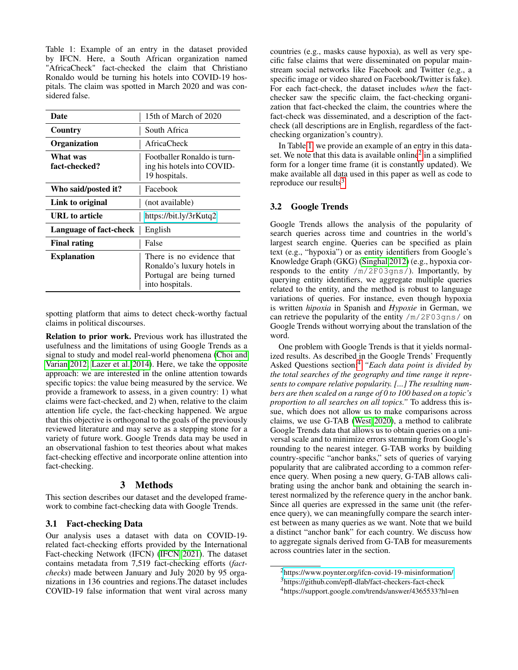<span id="page-2-0"></span>Table 1: Example of an entry in the dataset provided by IFCN. Here, a South African organization named "AfricaCheck" fact-checked the claim that Christiano Ronaldo would be turning his hotels into COVID-19 hospitals. The claim was spotted in March 2020 and was considered false.

| Date                          | 15th of March of 2020                                                                                   |
|-------------------------------|---------------------------------------------------------------------------------------------------------|
| Country                       | South Africa                                                                                            |
| Organization                  | AfricaCheck                                                                                             |
| What was<br>fact-checked?     | Footballer Ronaldo is turn-<br>ing his hotels into COVID-<br>19 hospitals.                              |
| Who said/posted it?           | Facebook                                                                                                |
| Link to original              | (not available)                                                                                         |
| URL to article                | https://bit.ly/3rKutq2                                                                                  |
| <b>Language of fact-check</b> | English                                                                                                 |
| <b>Final rating</b>           | False                                                                                                   |
| <b>Explanation</b>            | There is no evidence that<br>Ronaldo's luxury hotels in<br>Portugal are being turned<br>into hospitals. |

spotting platform that aims to detect check-worthy factual claims in political discourses.

Relation to prior work. Previous work has illustrated the usefulness and the limitations of using Google Trends as a signal to study and model real-world phenomena [\(Choi and](#page-8-3) [Varian 2012;](#page-8-3) [Lazer et al. 2014\)](#page-9-15). Here, we take the opposite approach: we are interested in the online attention towards specific topics: the value being measured by the service. We provide a framework to assess, in a given country: 1) what claims were fact-checked, and 2) when, relative to the claim attention life cycle, the fact-checking happened. We argue that this objective is orthogonal to the goals of the previously reviewed literature and may serve as a stepping stone for a variety of future work. Google Trends data may be used in an observational fashion to test theories about what makes fact-checking effective and incorporate online attention into fact-checking.

## 3 Methods

<span id="page-2-4"></span>This section describes our dataset and the developed framework to combine fact-checking data with Google Trends.

## 3.1 Fact-checking Data

Our analysis uses a dataset with data on COVID-19 related fact-checking efforts provided by the International Fact-checking Network (IFCN) [\(IFCN 2021\)](#page-9-7). The dataset contains metadata from 7,519 fact-checking efforts (*factchecks*) made between January and July 2020 by 95 organizations in 136 countries and regions.The dataset includes COVID-19 false information that went viral across many

countries (e.g., masks cause hypoxia), as well as very specific false claims that were disseminated on popular mainstream social networks like Facebook and Twitter (e.g., a specific image or video shared on Facebook/Twitter is fake). For each fact-check, the dataset includes *when* the factchecker saw the specific claim, the fact-checking organization that fact-checked the claim, the countries where the fact-check was disseminated, and a description of the factcheck (all descriptions are in English, regardless of the factchecking organization's country).

In Table [1,](#page-2-0) we provide an example of an entry in this data-set. We note that this data is available online<sup>[2](#page-2-1)</sup> in a simplified form for a longer time frame (it is constantly updated). We make available all data used in this paper as well as code to reproduce our results $3$ 

#### 3.2 Google Trends

Google Trends allows the analysis of the popularity of search queries across time and countries in the world's largest search engine. Queries can be specified as plain text (e.g., "hypoxia") or as entity identifiers from Google's Knowledge Graph (GKG) [\(Singhal 2012\)](#page-9-10) (e.g., hypoxia corresponds to the entity /m/2F03gns/). Importantly, by querying entity identifiers, we aggregate multiple queries related to the entity, and the method is robust to language variations of queries. For instance, even though hypoxia is written *hipoxia* in Spanish and *Hypoxie* in German, we can retrieve the popularity of the entity  $/m/2F03qns/$  on Google Trends without worrying about the translation of the word.

One problem with Google Trends is that it yields normalized results. As described in the Google Trends' Frequently Asked Questions section:[4](#page-2-3) *"Each data point is divided by the total searches of the geography and time range it represents to compare relative popularity. [...] The resulting numbers are then scaled on a range of 0 to 100 based on a topic's proportion to all searches on all topics."* To address this issue, which does not allow us to make comparisons across claims, we use G-TAB [\(West 2020\)](#page-9-12), a method to calibrate Google Trends data that allows us to obtain queries on a universal scale and to minimize errors stemming from Google's rounding to the nearest integer. G-TAB works by building country-specific "anchor banks," sets of queries of varying popularity that are calibrated according to a common reference query. When posing a new query, G-TAB allows calibrating using the anchor bank and obtaining the search interest normalized by the reference query in the anchor bank. Since all queries are expressed in the same unit (the reference query), we can meaningfully compare the search interest between as many queries as we want. Note that we build a distinct "anchor bank" for each country. We discuss how to aggregate signals derived from G-TAB for measurements across countries later in the section.

<span id="page-2-1"></span><sup>2</sup><https://www.poynter.org/ifcn-covid-19-misinformation/>

<span id="page-2-2"></span><sup>3</sup>https://github.com/epfl-dlab/fact-checkers-fact-check

<span id="page-2-3"></span><sup>4</sup>https://support.google.com/trends/answer/4365533?hl=en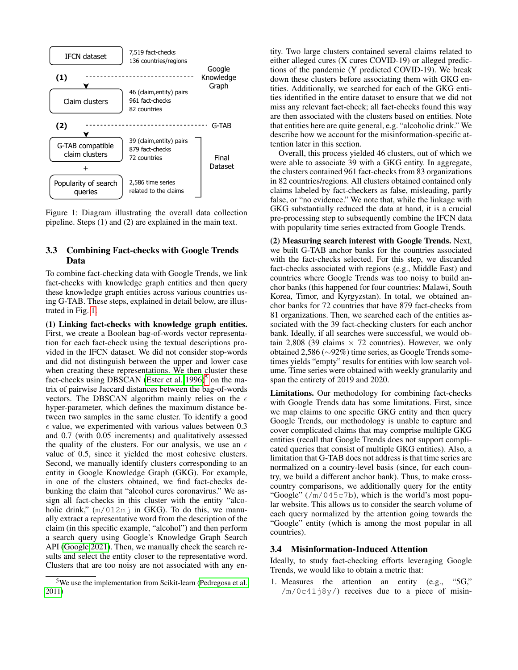<span id="page-3-0"></span>

Figure 1: Diagram illustrating the overall data collection pipeline. Steps (1) and (2) are explained in the main text.

## <span id="page-3-2"></span>3.3 Combining Fact-checks with Google Trends Data

To combine fact-checking data with Google Trends, we link fact-checks with knowledge graph entities and then query these knowledge graph entities across various countries using G-TAB. These steps, explained in detail below, are illustrated in Fig. [1.](#page-3-0)

(1) Linking fact-checks with knowledge graph entities. First, we create a Boolean bag-of-words vector representation for each fact-check using the textual descriptions provided in the IFCN dataset. We did not consider stop-words and did not distinguish between the upper and lower case when creating these representations. We then cluster these fact-checks using DBSCAN [\(Ester et al. 1996\)](#page-8-9)<sup>[5](#page-3-1)</sup> on the matrix of pairwise Jaccard distances between the bag-of-words vectors. The DBSCAN algorithm mainly relies on the  $\epsilon$ hyper-parameter, which defines the maximum distance between two samples in the same cluster. To identify a good  $\epsilon$  value, we experimented with various values between 0.3 and 0.7 (with 0.05 increments) and qualitatively assessed the quality of the clusters. For our analysis, we use an  $\epsilon$ value of 0.5, since it yielded the most cohesive clusters. Second, we manually identify clusters corresponding to an entity in Google Knowledge Graph (GKG). For example, in one of the clusters obtained, we find fact-checks debunking the claim that "alcohol cures coronavirus." We assign all fact-checks in this cluster with the entity "alcoholic drink,"  $(m/012m)$  in GKG). To do this, we manually extract a representative word from the description of the claim (in this specific example, "alcohol") and then perform a search query using Google's Knowledge Graph Search API [\(Google 2021\)](#page-8-10). Then, we manually check the search results and select the entity closer to the representative word. Clusters that are too noisy are not associated with any en-

tity. Two large clusters contained several claims related to either alleged cures (X cures COVID-19) or alleged predictions of the pandemic (Y predicted COVID-19). We break down these clusters before associating them with GKG entities. Additionally, we searched for each of the GKG entities identified in the entire dataset to ensure that we did not miss any relevant fact-check; all fact-checks found this way are then associated with the clusters based on entities. Note that entities here are quite general, e.g. "alcoholic drink." We describe how we account for the misinformation-specific attention later in this section.

Overall, this process yielded 46 clusters, out of which we were able to associate 39 with a GKG entity. In aggregate, the clusters contained 961 fact-checks from 83 organizations in 82 countries/regions. All clusters obtained contained only claims labeled by fact-checkers as false, misleading, partly false, or "no evidence." We note that, while the linkage with GKG substantially reduced the data at hand, it is a crucial pre-processing step to subsequently combine the IFCN data with popularity time series extracted from Google Trends.

(2) Measuring search interest with Google Trends. Next, we built G-TAB anchor banks for the countries associated with the fact-checks selected. For this step, we discarded fact-checks associated with regions (e.g., Middle East) and countries where Google Trends was too noisy to build anchor banks (this happened for four countries: Malawi, South Korea, Timor, and Kyrgyzstan). In total, we obtained anchor banks for 72 countries that have 879 fact-checks from 81 organizations. Then, we searched each of the entities associated with the 39 fact-checking clusters for each anchor bank. Ideally, if all searches were successful, we would obtain 2,808 (39 claims  $\times$  72 countries). However, we only obtained 2,586 (∼92%) time series, as Google Trends sometimes yields "empty" results for entities with low search volume. Time series were obtained with weekly granularity and span the entirety of 2019 and 2020.

Limitations. Our methodology for combining fact-checks with Google Trends data has some limitations. First, since we map claims to one specific GKG entity and then query Google Trends, our methodology is unable to capture and cover complicated claims that may comprise multiple GKG entities (recall that Google Trends does not support complicated queries that consist of multiple GKG entities). Also, a limitation that G-TAB does not address is that time series are normalized on a country-level basis (since, for each country, we build a different anchor bank). Thus, to make crosscountry comparisons, we additionally query for the entity "Google" ( $/m/045c7b$ ), which is the world's most popular website. This allows us to consider the search volume of each query normalized by the attention going towards the "Google" entity (which is among the most popular in all countries).

## 3.4 Misinformation-Induced Attention

Ideally, to study fact-checking efforts leveraging Google Trends, we would like to obtain a metric that:

1. Measures the attention an entity (e.g., "5G,"  $/m/0c41j8y/$  receives due to a piece of misin-

<span id="page-3-1"></span><sup>5</sup>We use the implementation from Scikit-learn [\(Pedregosa et al.](#page-9-21) [2011\)](#page-9-21)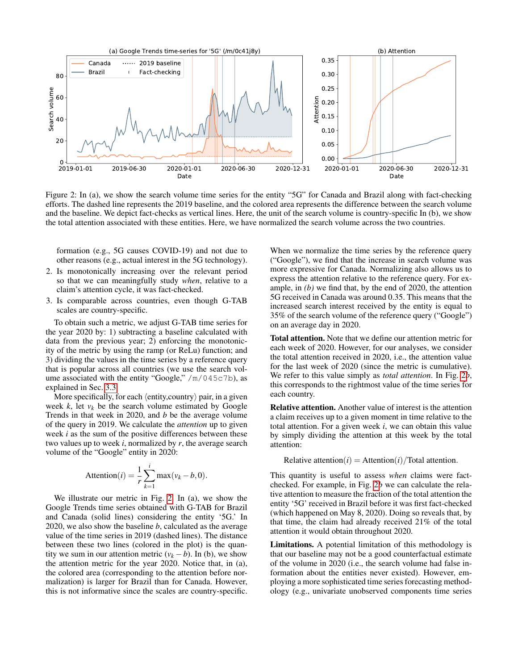<span id="page-4-0"></span>

Figure 2: In (a), we show the search volume time series for the entity "5G" for Canada and Brazil along with fact-checking efforts. The dashed line represents the 2019 baseline, and the colored area represents the difference between the search volume and the baseline. We depict fact-checks as vertical lines. Here, the unit of the search volume is country-specific In (b), we show the total attention associated with these entities. Here, we have normalized the search volume across the two countries.

formation (e.g., 5G causes COVID-19) and not due to other reasons (e.g., actual interest in the 5G technology).

- 2. Is monotonically increasing over the relevant period so that we can meaningfully study *when*, relative to a claim's attention cycle, it was fact-checked.
- 3. Is comparable across countries, even though G-TAB scales are country-specific.

To obtain such a metric, we adjust G-TAB time series for the year 2020 by: 1) subtracting a baseline calculated with data from the previous year; 2) enforcing the monotonicity of the metric by using the ramp (or ReLu) function; and 3) dividing the values in the time series by a reference query that is popular across all countries (we use the search volume associated with the entity "Google,"  $/m/045c7b$ ), as explained in Sec. [3.3.](#page-3-2)

More specifically, for each  $\langle$  entity, country $\rangle$  pair, in a given week  $k$ , let  $v_k$  be the search volume estimated by Google Trends in that week in 2020, and *b* be the average volume of the query in 2019. We calculate the *attention* up to given week *i* as the sum of the positive differences between these two values up to week *i*, normalized by *r*, the average search volume of the "Google" entity in 2020:

$$
Attention(i) = \frac{1}{r} \sum_{k=1}^{i} \max(v_k - b, 0).
$$

We illustrate our metric in Fig. [2.](#page-4-0) In (a), we show the Google Trends time series obtained with G-TAB for Brazil and Canada (solid lines) considering the entity '5G.' In 2020, we also show the baseline *b*, calculated as the average value of the time series in 2019 (dashed lines). The distance between these two lines (colored in the plot) is the quantity we sum in our attention metric  $(v_k - b)$ . In (b), we show the attention metric for the year 2020. Notice that, in (a), the colored area (corresponding to the attention before normalization) is larger for Brazil than for Canada. However, this is not informative since the scales are country-specific.

When we normalize the time series by the reference query ("Google"), we find that the increase in search volume was more expressive for Canada. Normalizing also allows us to express the attention relative to the reference query. For example, in *(b)* we find that, by the end of 2020, the attention 5G received in Canada was around 0.35. This means that the increased search interest received by the entity is equal to 35% of the search volume of the reference query ("Google") on an average day in 2020.

Total attention. Note that we define our attention metric for each week of 2020. However, for our analyses, we consider the total attention received in 2020, i.e., the attention value for the last week of 2020 (since the metric is cumulative). We refer to this value simply as *total attention*. In Fig. [2](#page-4-0)*b*, this corresponds to the rightmost value of the time series for each country.

Relative attention. Another value of interest is the attention a claim receives up to a given moment in time relative to the total attention. For a given week *i*, we can obtain this value by simply dividing the attention at this week by the total attention:

Relative attention( $i$ ) = Attention( $i$ )/Total attention.

This quantity is useful to assess *when* claims were factchecked. For example, in Fig. [2](#page-4-0)*b* we can calculate the relative attention to measure the fraction of the total attention the entity '5G' received in Brazil before it was first fact-checked (which happened on May 8, 2020). Doing so reveals that, by that time, the claim had already received 21% of the total attention it would obtain throughout 2020.

Limitations. A potential limitation of this methodology is that our baseline may not be a good counterfactual estimate of the volume in 2020 (i.e., the search volume had false information about the entities never existed). However, employing a more sophisticated time series forecasting methodology (e.g., univariate unobserved components time series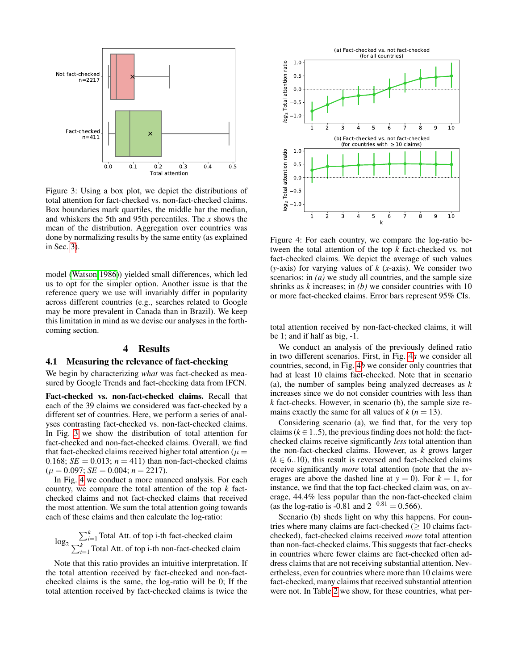<span id="page-5-0"></span>

Figure 3: Using a box plot, we depict the distributions of total attention for fact-checked vs. non-fact-checked claims. Box boundaries mark quartiles, the middle bar the median, and whiskers the 5th and 95th percentiles. The *x* shows the mean of the distribution. Aggregation over countries was done by normalizing results by the same entity (as explained in Sec. [3\)](#page-2-4).

model [\(Watson 1986\)](#page-9-22)) yielded small differences, which led us to opt for the simpler option. Another issue is that the reference query we use will invariably differ in popularity across different countries (e.g., searches related to Google may be more prevalent in Canada than in Brazil). We keep this limitation in mind as we devise our analyses in the forthcoming section.

## 4 Results

## 4.1 Measuring the relevance of fact-checking

We begin by characterizing *what* was fact-checked as measured by Google Trends and fact-checking data from IFCN.

Fact-checked vs. non-fact-checked claims. Recall that each of the 39 claims we considered was fact-checked by a different set of countries. Here, we perform a series of analyses contrasting fact-checked vs. non-fact-checked claims. In Fig. [3](#page-5-0) we show the distribution of total attention for fact-checked and non-fact-checked claims. Overall, we find that fact-checked claims received higher total attention ( $\mu =$ 0.168;  $SE = 0.013$ ;  $n = 411$ ) than non-fact-checked claims  $(\mu = 0.097; SE = 0.004; n = 2217).$ 

In Fig. [4](#page-5-1) we conduct a more nuanced analysis. For each country, we compare the total attention of the top *k* factchecked claims and not fact-checked claims that received the most attention. We sum the total attention going towards each of these claims and then calculate the log-ratio:

$$
\log_2 \frac{\sum_{k=1}^{k} \text{Total Att. of top i-th fact-checked claim}}{\sum_{i=1}^{k} \text{Total Att. of top i-th non-factor-checked claim}}
$$

Note that this ratio provides an intuitive interpretation. If the total attention received by fact-checked and non-factchecked claims is the same, the log-ratio will be 0; If the total attention received by fact-checked claims is twice the

<span id="page-5-1"></span>

Figure 4: For each country, we compare the log-ratio between the total attention of the top *k* fact-checked vs. not fact-checked claims. We depict the average of such values (*y*-axis) for varying values of *k* (*x*-axis). We consider two scenarios: in (*a*) we study all countries, and the sample size shrinks as *k* increases; in *(b)* we consider countries with 10 or more fact-checked claims. Error bars represent 95% CIs.

total attention received by non-fact-checked claims, it will be 1; and if half as big, -1.

We conduct an analysis of the previously defined ratio in two different scenarios. First, in Fig. [4](#page-5-1)*a* we consider all countries, second, in Fig. [4](#page-5-1)*b* we consider only countries that had at least 10 claims fact-checked. Note that in scenario (a), the number of samples being analyzed decreases as *k* increases since we do not consider countries with less than *k* fact-checks. However, in scenario (b), the sample size remains exactly the same for all values of  $k (n = 13)$ .

Considering scenario (a), we find that, for the very top claims ( $k \in 1..5$ ), the previous finding does not hold: the factchecked claims receive significantly *less* total attention than the non-fact-checked claims. However, as *k* grows larger  $(k \in 6..10)$ , this result is reversed and fact-checked claims receive significantly *more* total attention (note that the averages are above the dashed line at  $y = 0$ ). For  $k = 1$ , for instance, we find that the top fact-checked claim was, on average, 44.4% less popular than the non-fact-checked claim (as the log-ratio is  $-0.81$  and  $2^{-0.81} = 0.566$ ).

Scenario (b) sheds light on why this happens. For countries where many claims are fact-checked  $(≥ 10$  claims factchecked), fact-checked claims received *more* total attention than non-fact-checked claims. This suggests that fact-checks in countries where fewer claims are fact-checked often address claims that are not receiving substantial attention. Nevertheless, even for countries where more than 10 claims were fact-checked, many claims that received substantial attention were not. In Table [2](#page-6-0) we show, for these countries, what per-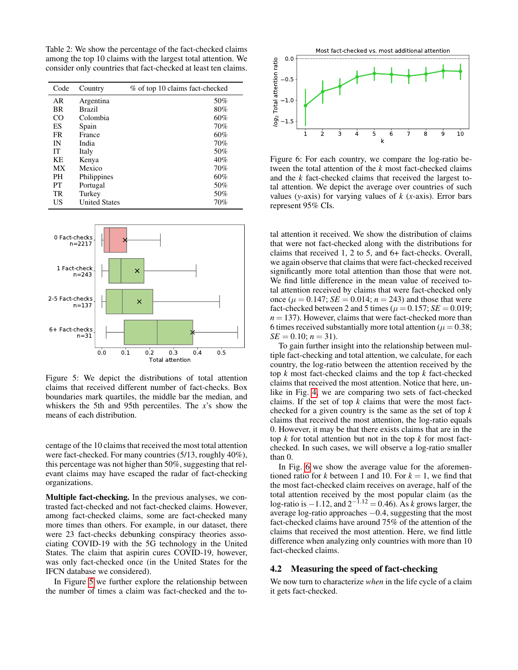<span id="page-6-0"></span>Table 2: We show the percentage of the fact-checked claims among the top 10 claims with the largest total attention. We consider only countries that fact-checked at least ten claims.

| Code | Country              | % of top 10 claims fact-checked |
|------|----------------------|---------------------------------|
| AR   | Argentina            | 50%                             |
| BR   | Brazil               | 80%                             |
| CO   | Colombia             | 60%                             |
| ES   | Spain                | 70%                             |
| FR   | France               | 60%                             |
| IN   | India                | 70%                             |
| IТ   | Italy                | 50%                             |
| KE   | Kenya                | 40%                             |
| МX   | Mexico               | 70%                             |
| PН   | Philippines          | 60%                             |
| PТ   | Portugal             | 50%                             |
| TR   | Turkey               | 50%                             |
| US   | <b>United States</b> | 70%                             |

<span id="page-6-1"></span>

Figure 5: We depict the distributions of total attention claims that received different number of fact-checks. Box boundaries mark quartiles, the middle bar the median, and whiskers the 5th and 95th percentiles. The *x*'s show the means of each distribution.

centage of the 10 claims that received the most total attention were fact-checked. For many countries (5/13, roughly 40%), this percentage was not higher than 50%, suggesting that relevant claims may have escaped the radar of fact-checking organizations.

Multiple fact-checking. In the previous analyses, we contrasted fact-checked and not fact-checked claims. However, among fact-checked claims, some are fact-checked many more times than others. For example, in our dataset, there were 23 fact-checks debunking conspiracy theories associating COVID-19 with the 5G technology in the United States. The claim that aspirin cures COVID-19, however, was only fact-checked once (in the United States for the IFCN database we considered).

In Figure [5](#page-6-1) we further explore the relationship between the number of times a claim was fact-checked and the to-

<span id="page-6-2"></span>

Figure 6: For each country, we compare the log-ratio between the total attention of the *k* most fact-checked claims and the *k* fact-checked claims that received the largest total attention. We depict the average over countries of such values (*y*-axis) for varying values of *k* (*x*-axis). Error bars represent 95% CIs.

tal attention it received. We show the distribution of claims that were not fact-checked along with the distributions for claims that received 1, 2 to 5, and 6+ fact-checks. Overall, we again observe that claims that were fact-checked received significantly more total attention than those that were not. We find little difference in the mean value of received total attention received by claims that were fact-checked only once ( $\mu = 0.147$ ; *SE* = 0.014;  $n = 243$ ) and those that were fact-checked between 2 and 5 times ( $\mu = 0.157$ ; *SE* = 0.019;  $n = 137$ ). However, claims that were fact-checked more than 6 times received substantially more total attention ( $\mu = 0.38$ ;  $SE = 0.10$ ;  $n = 31$ ).

To gain further insight into the relationship between multiple fact-checking and total attention, we calculate, for each country, the log-ratio between the attention received by the top *k* most fact-checked claims and the top *k* fact-checked claims that received the most attention. Notice that here, unlike in Fig. [4,](#page-5-1) we are comparing two sets of fact-checked claims. If the set of top *k* claims that were the most factchecked for a given country is the same as the set of top *k* claims that received the most attention, the log-ratio equals 0. However, it may be that there exists claims that are in the top *k* for total attention but not in the top *k* for most factchecked. In such cases, we will observe a log-ratio smaller than 0.

In Fig. [6](#page-6-2) we show the average value for the aforementioned ratio for *k* between 1 and 10. For  $k = 1$ , we find that the most fact-checked claim receives on average, half of the total attention received by the most popular claim (as the log-ratio is −1.12, and 2−1.<sup>12</sup> = 0.46). As *k* grows larger, the average log-ratio approaches −0.4, suggesting that the most fact-checked claims have around 75% of the attention of the claims that received the most attention. Here, we find little difference when analyzing only countries with more than 10 fact-checked claims.

#### 4.2 Measuring the speed of fact-checking

We now turn to characterize *when* in the life cycle of a claim it gets fact-checked.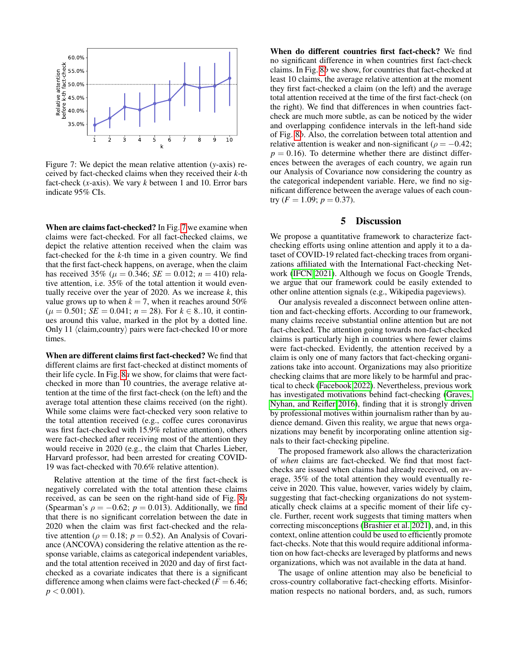<span id="page-7-0"></span>

Figure 7: We depict the mean relative attention (*y*-axis) received by fact-checked claims when they received their *k*-th fact-check (*x*-axis). We vary *k* between 1 and 10. Error bars indicate 95% CIs.

When are claims fact-checked? In Fig. [7](#page-7-0) we examine when claims were fact-checked. For all fact-checked claims, we depict the relative attention received when the claim was fact-checked for the *k*-th time in a given country. We find that the first fact-check happens, on average, when the claim has received 35% ( $\mu = 0.346$ ; *SE* = 0.012; *n* = 410) relative attention, i.e. 35% of the total attention it would eventually receive over the year of 2020. As we increase *k*, this value grows up to when  $k = 7$ , when it reaches around 50%  $(\mu = 0.501; SE = 0.041; n = 28)$ . For  $k \in 8..10$ , it continues around this value, marked in the plot by a dotted line. Only 11  $\langle claim, country \rangle$  pairs were fact-checked 10 or more times.

When are different claims first fact-checked? We find that different claims are first fact-checked at distinct moments of their life cycle. In Fig. [8](#page-8-11)*a* we show, for claims that were factchecked in more than 10 countries, the average relative attention at the time of the first fact-check (on the left) and the average total attention these claims received (on the right). While some claims were fact-checked very soon relative to the total attention received (e.g., coffee cures coronavirus was first fact-checked with 15.9% relative attention), others were fact-checked after receiving most of the attention they would receive in 2020 (e.g., the claim that Charles Lieber, Harvard professor, had been arrested for creating COVID-19 was fact-checked with 70.6% relative attention).

Relative attention at the time of the first fact-check is negatively correlated with the total attention these claims received, as can be seen on the right-hand side of Fig. [8](#page-8-11)*a* (Spearman's  $\rho = -0.62$ ;  $p = 0.013$ ). Additionally, we find that there is no significant correlation between the date in 2020 when the claim was first fact-checked and the relative attention ( $\rho = 0.18$ ;  $p = 0.52$ ). An Analysis of Covariance (ANCOVA) considering the relative attention as the response variable, claims as categorical independent variables, and the total attention received in 2020 and day of first factchecked as a covariate indicates that there is a significant difference among when claims were fact-checked ( $F = 6.46$ ;  $p < 0.001$ ).

When do different countries first fact-check? We find no significant difference in when countries first fact-check claims. In Fig. [8](#page-8-11)*b* we show, for countries that fact-checked at least 10 claims, the average relative attention at the moment they first fact-checked a claim (on the left) and the average total attention received at the time of the first fact-check (on the right). We find that differences in when countries factcheck are much more subtle, as can be noticed by the wider and overlapping confidence intervals in the left-hand side of Fig. [8](#page-8-11)*b*. Also, the correlation between total attention and relative attention is weaker and non-significant ( $\rho = -0.42$ ;  $p = 0.16$ ). To determine whether there are distinct differences between the averages of each country, we again run our Analysis of Covariance now considering the country as the categorical independent variable. Here, we find no significant difference between the average values of each country  $(F = 1.09; p = 0.37)$ .

## 5 Discussion

We propose a quantitative framework to characterize factchecking efforts using online attention and apply it to a dataset of COVID-19 related fact-checking traces from organizations affiliated with the International Fact-checking Network [\(IFCN 2021\)](#page-9-7). Although we focus on Google Trends, we argue that our framework could be easily extended to other online attention signals (e.g., Wikipedia pageviews).

Our analysis revealed a disconnect between online attention and fact-checking efforts. According to our framework, many claims receive substantial online attention but are not fact-checked. The attention going towards non-fact-checked claims is particularly high in countries where fewer claims were fact-checked. Evidently, the attention received by a claim is only one of many factors that fact-checking organizations take into account. Organizations may also prioritize checking claims that are more likely to be harmful and practical to check [\(Facebook 2022\)](#page-8-12). Nevertheless, previous work has investigated motivations behind fact-checking [\(Graves,](#page-8-6) [Nyhan, and Reifler 2016\)](#page-8-6), finding that it is strongly driven by professional motives within journalism rather than by audience demand. Given this reality, we argue that news organizations may benefit by incorporating online attention signals to their fact-checking pipeline.

The proposed framework also allows the characterization of *when* claims are fact-checked. We find that most factchecks are issued when claims had already received, on average, 35% of the total attention they would eventually receive in 2020. This value, however, varies widely by claim, suggesting that fact-checking organizations do not systematically check claims at a specific moment of their life cycle. Further, recent work suggests that timing matters when correcting misconceptions [\(Brashier et al. 2021\)](#page-8-1), and, in this context, online attention could be used to efficiently promote fact-checks. Note that this would require additional information on how fact-checks are leveraged by platforms and news organizations, which was not available in the data at hand.

The usage of online attention may also be beneficial to cross-country collaborative fact-checking efforts. Misinformation respects no national borders, and, as such, rumors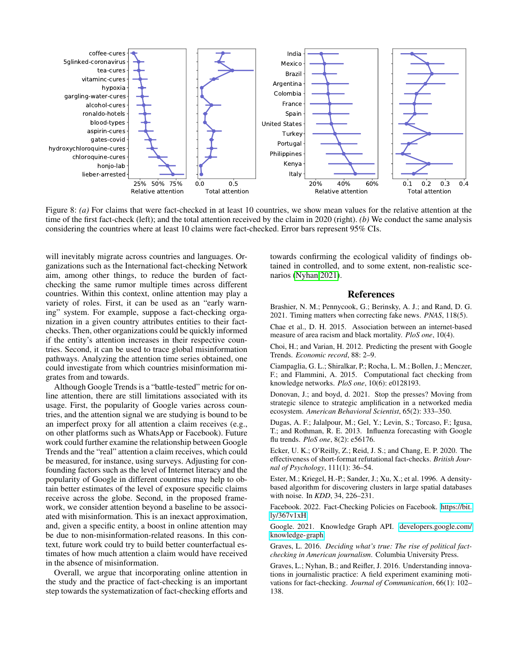<span id="page-8-11"></span>

Figure 8: *(a)* For claims that were fact-checked in at least 10 countries, we show mean values for the relative attention at the time of the first fact-check (left); and the total attention received by the claim in 2020 (right). *(b)* We conduct the same analysis considering the countries where at least 10 claims were fact-checked. Error bars represent 95% CIs.

will inevitably migrate across countries and languages. Organizations such as the International fact-checking Network aim, among other things, to reduce the burden of factchecking the same rumor multiple times across different countries. Within this context, online attention may play a variety of roles. First, it can be used as an "early warning" system. For example, suppose a fact-checking organization in a given country attributes entities to their factchecks. Then, other organizations could be quickly informed if the entity's attention increases in their respective countries. Second, it can be used to trace global misinformation pathways. Analyzing the attention time series obtained, one could investigate from which countries misinformation migrates from and towards.

Although Google Trends is a "battle-tested" metric for online attention, there are still limitations associated with its usage. First, the popularity of Google varies across countries, and the attention signal we are studying is bound to be an imperfect proxy for all attention a claim receives (e.g., on other platforms such as WhatsApp or Facebook). Future work could further examine the relationship between Google Trends and the "real" attention a claim receives, which could be measured, for instance, using surveys. Adjusting for confounding factors such as the level of Internet literacy and the popularity of Google in different countries may help to obtain better estimates of the level of exposure specific claims receive across the globe. Second, in the proposed framework, we consider attention beyond a baseline to be associated with misinformation. This is an inexact approximation, and, given a specific entity, a boost in online attention may be due to non-misinformation-related reasons. In this context, future work could try to build better counterfactual estimates of how much attention a claim would have received in the absence of misinformation.

Overall, we argue that incorporating online attention in the study and the practice of fact-checking is an important step towards the systematization of fact-checking efforts and towards confirming the ecological validity of findings obtained in controlled, and to some extent, non-realistic scenarios [\(Nyhan 2021\)](#page-9-5).

#### References

<span id="page-8-1"></span>Brashier, N. M.; Pennycook, G.; Berinsky, A. J.; and Rand, D. G. 2021. Timing matters when correcting fake news. *PNAS*, 118(5).

<span id="page-8-4"></span>Chae et al., D. H. 2015. Association between an internet-based measure of area racism and black mortality. *PloS one*, 10(4).

<span id="page-8-3"></span>Choi, H.; and Varian, H. 2012. Predicting the present with Google Trends. *Economic record*, 88: 2–9.

<span id="page-8-8"></span>Ciampaglia, G. L.; Shiralkar, P.; Rocha, L. M.; Bollen, J.; Menczer, F.; and Flammini, A. 2015. Computational fact checking from knowledge networks. *PloS one*, 10(6): e0128193.

<span id="page-8-2"></span>Donovan, J.; and boyd, d. 2021. Stop the presses? Moving from strategic silence to strategic amplification in a networked media ecosystem. *American Behavioral Scientist*, 65(2): 333–350.

<span id="page-8-5"></span>Dugas, A. F.; Jalalpour, M.; Gel, Y.; Levin, S.; Torcaso, F.; Igusa, T.; and Rothman, R. E. 2013. Influenza forecasting with Google flu trends. *PloS one*, 8(2): e56176.

<span id="page-8-7"></span>Ecker, U. K.; O'Reilly, Z.; Reid, J. S.; and Chang, E. P. 2020. The effectiveness of short-format refutational fact-checks. *British Journal of Psychology*, 111(1): 36–54.

<span id="page-8-9"></span>Ester, M.; Kriegel, H.-P.; Sander, J.; Xu, X.; et al. 1996. A densitybased algorithm for discovering clusters in large spatial databases with noise. In *KDD*, 34, 226–231.

<span id="page-8-12"></span>Facebook. 2022. Fact-Checking Policies on Facebook. [https://bit.](https://bit.ly/367v1xH) [ly/367v1xH.](https://bit.ly/367v1xH)

<span id="page-8-10"></span>Google. 2021. Knowledge Graph API. [developers.google.com/](developers.google.com/knowledge-graph) [knowledge-graph.](developers.google.com/knowledge-graph)

<span id="page-8-0"></span>Graves, L. 2016. *Deciding what's true: The rise of political factchecking in American journalism*. Columbia University Press.

<span id="page-8-6"></span>Graves, L.; Nyhan, B.; and Reifler, J. 2016. Understanding innovations in journalistic practice: A field experiment examining motivations for fact-checking. *Journal of Communication*, 66(1): 102– 138.